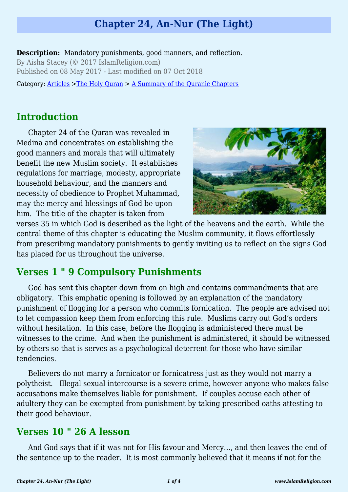# **Chapter 24, An-Nur (The Light)**

**Description:** Mandatory punishments, good manners, and reflection. By Aisha Stacey (© 2017 IslamReligion.com) Published on 08 May 2017 - Last modified on 07 Oct 2018

Category: [Articles](http://www.islamreligion.com/articles/) >[The Holy Quran](http://www.islamreligion.com/category/75/) > [A Summary of the Quranic Chapters](http://www.islamreligion.com/category/77/)

# **Introduction**

Chapter 24 of the Quran was revealed in Medina and concentrates on establishing the good manners and morals that will ultimately benefit the new Muslim society. It establishes regulations for marriage, modesty, appropriate household behaviour, and the manners and necessity of obedience to Prophet Muhammad, may the mercy and blessings of God be upon him. The title of the chapter is taken from



verses 35 in which God is described as the light of the heavens and the earth. While the central theme of this chapter is educating the Muslim community, it flows effortlessly from prescribing mandatory punishments to gently inviting us to reflect on the signs God has placed for us throughout the universe.

## **Verses 1 " 9 Compulsory Punishments**

God has sent this chapter down from on high and contains commandments that are obligatory. This emphatic opening is followed by an explanation of the mandatory punishment of flogging for a person who commits fornication. The people are advised not to let compassion keep them from enforcing this rule. Muslims carry out God's orders without hesitation. In this case, before the flogging is administered there must be witnesses to the crime. And when the punishment is administered, it should be witnessed by others so that is serves as a psychological deterrent for those who have similar tendencies.

Believers do not marry a fornicator or fornicatress just as they would not marry a polytheist. Illegal sexual intercourse is a severe crime, however anyone who makes false accusations make themselves liable for punishment. If couples accuse each other of adultery they can be exempted from punishment by taking prescribed oaths attesting to their good behaviour.

#### **Verses 10 " 26 A lesson**

And God says that if it was not for His favour and Mercy…, and then leaves the end of the sentence up to the reader. It is most commonly believed that it means if not for the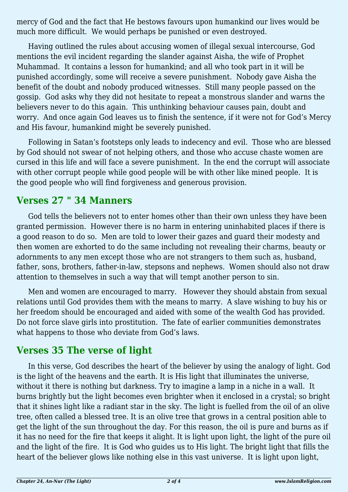mercy of God and the fact that He bestows favours upon humankind our lives would be much more difficult. We would perhaps be punished or even destroyed.

Having outlined the rules about accusing women of illegal sexual intercourse, God mentions the evil incident regarding the slander against Aisha, the wife of Prophet Muhammad. It contains a lesson for humankind; and all who took part in it will be punished accordingly, some will receive a severe punishment. Nobody gave Aisha the benefit of the doubt and nobody produced witnesses. Still many people passed on the gossip. God asks why they did not hesitate to repeat a monstrous slander and warns the believers never to do this again. This unthinking behaviour causes pain, doubt and worry. And once again God leaves us to finish the sentence, if it were not for God's Mercy and His favour, humankind might be severely punished.

Following in Satan's footsteps only leads to indecency and evil. Those who are blessed by God should not swear of not helping others, and those who accuse chaste women are cursed in this life and will face a severe punishment. In the end the corrupt will associate with other corrupt people while good people will be with other like mined people. It is the good people who will find forgiveness and generous provision.

#### **Verses 27 " 34 Manners**

God tells the believers not to enter homes other than their own unless they have been granted permission. However there is no harm in entering uninhabited places if there is a good reason to do so. Men are told to lower their gazes and guard their modesty and then women are exhorted to do the same including not revealing their charms, beauty or adornments to any men except those who are not strangers to them such as, husband, father, sons, brothers, father-in-law, stepsons and nephews. Women should also not draw attention to themselves in such a way that will tempt another person to sin.

Men and women are encouraged to marry. However they should abstain from sexual relations until God provides them with the means to marry. A slave wishing to buy his or her freedom should be encouraged and aided with some of the wealth God has provided. Do not force slave girls into prostitution. The fate of earlier communities demonstrates what happens to those who deviate from God's laws.

#### **Verses 35 The verse of light**

In this verse, God describes the heart of the believer by using the analogy of light. God is the light of the heavens and the earth. It is His light that illuminates the universe, without it there is nothing but darkness. Try to imagine a lamp in a niche in a wall. It burns brightly but the light becomes even brighter when it enclosed in a crystal; so bright that it shines light like a radiant star in the sky. The light is fuelled from the oil of an olive tree, often called a blessed tree. It is an olive tree that grows in a central position able to get the light of the sun throughout the day. For this reason, the oil is pure and burns as if it has no need for the fire that keeps it alight. It is light upon light, the light of the pure oil and the light of the fire. It is God who guides us to His light. The bright light that fills the heart of the believer glows like nothing else in this vast universe. It is light upon light,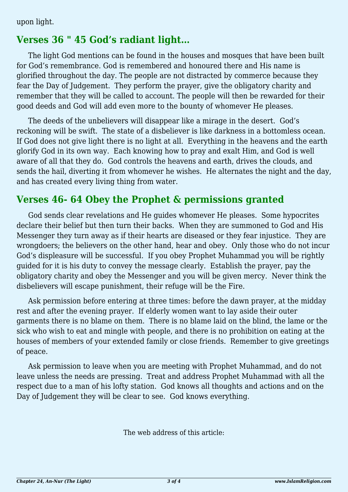upon light.

## **Verses 36 " 45 God's radiant light…**

The light God mentions can be found in the houses and mosques that have been built for God's remembrance. God is remembered and honoured there and His name is glorified throughout the day. The people are not distracted by commerce because they fear the Day of Judgement. They perform the prayer, give the obligatory charity and remember that they will be called to account. The people will then be rewarded for their good deeds and God will add even more to the bounty of whomever He pleases.

The deeds of the unbelievers will disappear like a mirage in the desert. God's reckoning will be swift. The state of a disbeliever is like darkness in a bottomless ocean. If God does not give light there is no light at all. Everything in the heavens and the earth glorify God in its own way. Each knowing how to pray and exalt Him, and God is well aware of all that they do. God controls the heavens and earth, drives the clouds, and sends the hail, diverting it from whomever he wishes. He alternates the night and the day, and has created every living thing from water.

### **Verses 46- 64 Obey the Prophet & permissions granted**

God sends clear revelations and He guides whomever He pleases. Some hypocrites declare their belief but then turn their backs. When they are summoned to God and His Messenger they turn away as if their hearts are diseased or they fear injustice. They are wrongdoers; the believers on the other hand, hear and obey. Only those who do not incur God's displeasure will be successful. If you obey Prophet Muhammad you will be rightly guided for it is his duty to convey the message clearly. Establish the prayer, pay the obligatory charity and obey the Messenger and you will be given mercy. Never think the disbelievers will escape punishment, their refuge will be the Fire.

Ask permission before entering at three times: before the dawn prayer, at the midday rest and after the evening prayer. If elderly women want to lay aside their outer garments there is no blame on them. There is no blame laid on the blind, the lame or the sick who wish to eat and mingle with people, and there is no prohibition on eating at the houses of members of your extended family or close friends. Remember to give greetings of peace.

Ask permission to leave when you are meeting with Prophet Muhammad, and do not leave unless the needs are pressing. Treat and address Prophet Muhammad with all the respect due to a man of his lofty station. God knows all thoughts and actions and on the Day of Judgement they will be clear to see. God knows everything.

The web address of this article: